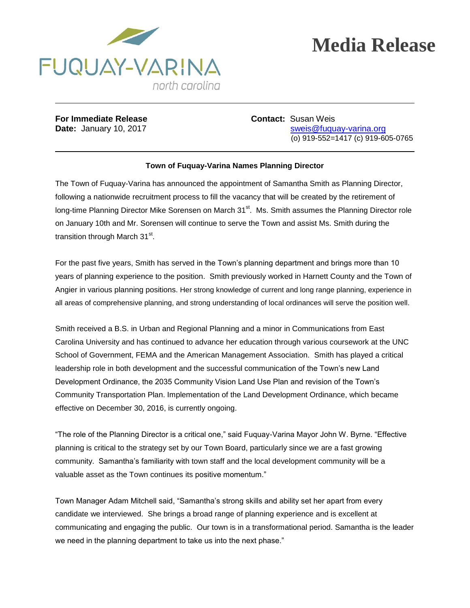

## **Media Release**

**For Immediate Release <b>Contact:** Susan Weis

**Date:** January 10, 2017 **State:** State: Sweis@fuquay-varina.org (o) 919-552=1417 (c) 919-605-0765

## **Town of Fuquay-Varina Names Planning Director**

The Town of Fuquay-Varina has announced the appointment of Samantha Smith as Planning Director, following a nationwide recruitment process to fill the vacancy that will be created by the retirement of long-time Planning Director Mike Sorensen on March 31<sup>st</sup>. Ms. Smith assumes the Planning Director role on January 10th and Mr. Sorensen will continue to serve the Town and assist Ms. Smith during the transition through March 31<sup>st</sup>.

For the past five years, Smith has served in the Town's planning department and brings more than 10 years of planning experience to the position. Smith previously worked in Harnett County and the Town of Angier in various planning positions. Her strong knowledge of current and long range planning, experience in all areas of comprehensive planning, and strong understanding of local ordinances will serve the position well.

Smith received a B.S. in Urban and Regional Planning and a minor in Communications from East Carolina University and has continued to advance her education through various coursework at the UNC School of Government, FEMA and the American Management Association. Smith has played a critical leadership role in both development and the successful communication of the Town's new Land Development Ordinance, the 2035 Community Vision Land Use Plan and revision of the Town's Community Transportation Plan. Implementation of the Land Development Ordinance, which became effective on December 30, 2016, is currently ongoing.

"The role of the Planning Director is a critical one," said Fuquay-Varina Mayor John W. Byrne. "Effective planning is critical to the strategy set by our Town Board, particularly since we are a fast growing community. Samantha's familiarity with town staff and the local development community will be a valuable asset as the Town continues its positive momentum."

Town Manager Adam Mitchell said, "Samantha's strong skills and ability set her apart from every candidate we interviewed. She brings a broad range of planning experience and is excellent at communicating and engaging the public. Our town is in a transformational period. Samantha is the leader we need in the planning department to take us into the next phase."